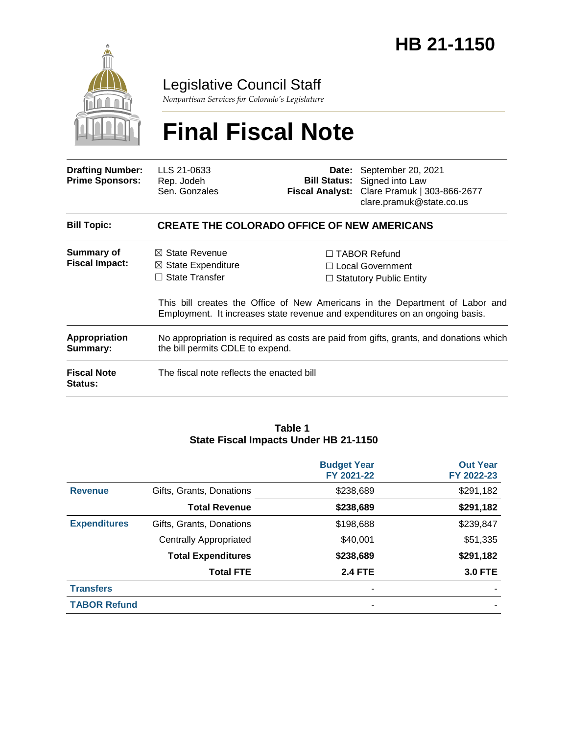

### Legislative Council Staff

*Nonpartisan Services for Colorado's Legislature*

# **Final Fiscal Note**

| <b>Drafting Number:</b><br><b>Prime Sponsors:</b> | LLS 21-0633<br>Rep. Jodeh<br>Sen. Gonzales                                                                                 |  | <b>Date:</b> September 20, 2021<br><b>Bill Status:</b> Signed into Law<br>Fiscal Analyst: Clare Pramuk   303-866-2677<br>clare.pramuk@state.co.us                                                                                                |  |  |  |
|---------------------------------------------------|----------------------------------------------------------------------------------------------------------------------------|--|--------------------------------------------------------------------------------------------------------------------------------------------------------------------------------------------------------------------------------------------------|--|--|--|
| <b>Bill Topic:</b>                                | <b>CREATE THE COLORADO OFFICE OF NEW AMERICANS</b>                                                                         |  |                                                                                                                                                                                                                                                  |  |  |  |
| Summary of<br><b>Fiscal Impact:</b>               | $\boxtimes$ State Revenue<br>$\boxtimes$ State Expenditure<br>$\Box$ State Transfer                                        |  | $\Box$ TABOR Refund<br>$\Box$ Local Government<br>$\Box$ Statutory Public Entity<br>This bill creates the Office of New Americans in the Department of Labor and<br>Employment. It increases state revenue and expenditures on an ongoing basis. |  |  |  |
| Appropriation<br>Summary:                         | No appropriation is required as costs are paid from gifts, grants, and donations which<br>the bill permits CDLE to expend. |  |                                                                                                                                                                                                                                                  |  |  |  |
| <b>Fiscal Note</b><br><b>Status:</b>              | The fiscal note reflects the enacted bill                                                                                  |  |                                                                                                                                                                                                                                                  |  |  |  |

#### **Table 1 State Fiscal Impacts Under HB 21-1150**

|                     |                               | <b>Budget Year</b><br>FY 2021-22 | <b>Out Year</b><br>FY 2022-23 |
|---------------------|-------------------------------|----------------------------------|-------------------------------|
| <b>Revenue</b>      | Gifts, Grants, Donations      | \$238,689                        | \$291,182                     |
|                     | <b>Total Revenue</b>          | \$238,689                        | \$291,182                     |
| <b>Expenditures</b> | Gifts, Grants, Donations      | \$198,688                        | \$239,847                     |
|                     | <b>Centrally Appropriated</b> | \$40,001                         | \$51,335                      |
|                     | <b>Total Expenditures</b>     | \$238,689                        | \$291,182                     |
|                     | <b>Total FTE</b>              | <b>2.4 FTE</b>                   | <b>3.0 FTE</b>                |
| <b>Transfers</b>    |                               |                                  |                               |
| <b>TABOR Refund</b> |                               | ٠                                |                               |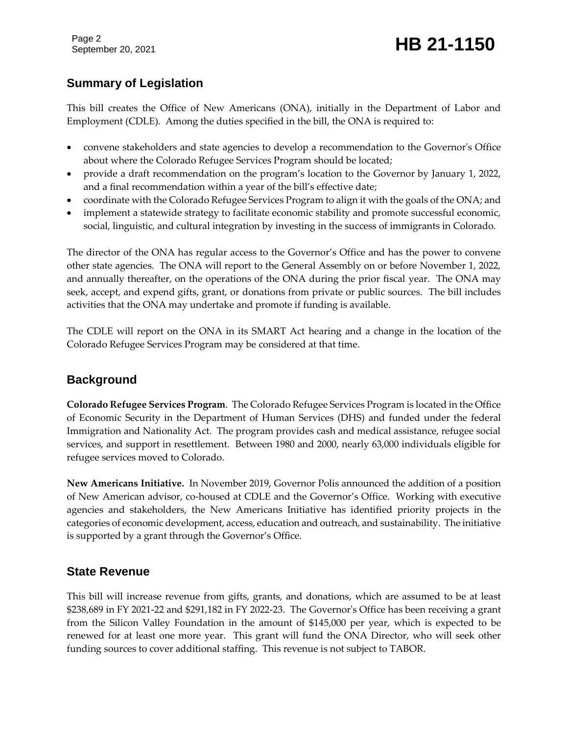Page 2

## September 20, 2021 **HB 21-1150**

#### **Summary of Legislation**

This bill creates the Office of New Americans (ONA), initially in the Department of Labor and Employment (CDLE). Among the duties specified in the bill, the ONA is required to:

- convene stakeholders and state agencies to develop a recommendation to the Governor's Office about where the Colorado Refugee Services Program should be located;
- provide a draft recommendation on the program's location to the Governor by January 1, 2022, and a final recommendation within a year of the bill's effective date;
- coordinate with the Colorado Refugee Services Program to align it with the goals of the ONA; and
- implement a statewide strategy to facilitate economic stability and promote successful economic, social, linguistic, and cultural integration by investing in the success of immigrants in Colorado.

The director of the ONA has regular access to the Governor's Office and has the power to convene other state agencies. The ONA will report to the General Assembly on or before November 1, 2022, and annually thereafter, on the operations of the ONA during the prior fiscal year. The ONA may seek, accept, and expend gifts, grant, or donations from private or public sources. The bill includes activities that the ONA may undertake and promote if funding is available.

The CDLE will report on the ONA in its SMART Act hearing and a change in the location of the Colorado Refugee Services Program may be considered at that time.

#### **Background**

**Colorado Refugee Services Program**. The Colorado Refugee Services Program is located in the Office of Economic Security in the Department of Human Services (DHS) and funded under the federal Immigration and Nationality Act. The program provides cash and medical assistance, refugee social services, and support in resettlement. Between 1980 and 2000, nearly 63,000 individuals eligible for refugee services moved to Colorado.

**New Americans Initiative.** In November 2019, Governor Polis announced the addition of a position of New American advisor, co-housed at CDLE and the Governor's Office. Working with executive agencies and stakeholders, the New Americans Initiative has identified priority projects in the categories of economic development, access, education and outreach, and sustainability. The initiative is supported by a grant through the Governor's Office.

#### **State Revenue**

This bill will increase revenue from gifts, grants, and donations, which are assumed to be at least \$238,689 in FY 2021-22 and \$291,182 in FY 2022-23. The Governor's Office has been receiving a grant from the Silicon Valley Foundation in the amount of \$145,000 per year, which is expected to be renewed for at least one more year. This grant will fund the ONA Director, who will seek other funding sources to cover additional staffing. This revenue is not subject to TABOR.